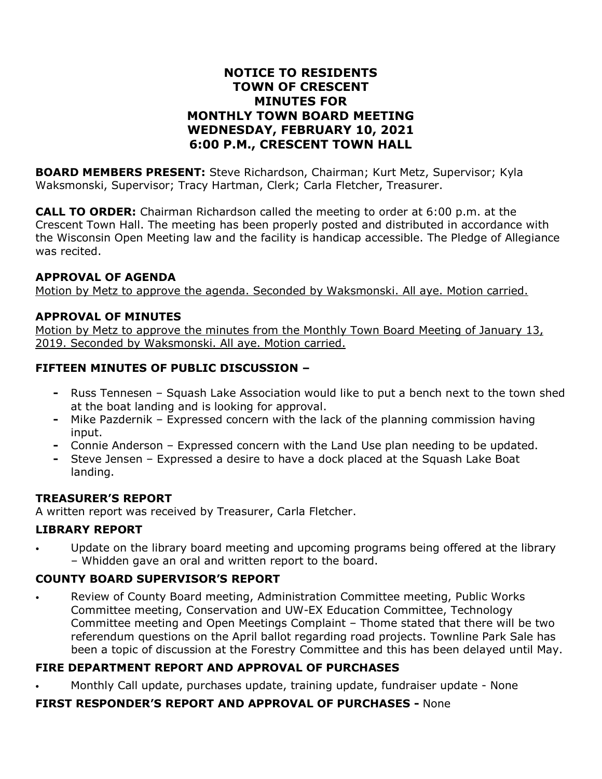# **NOTICE TO RESIDENTS TOWN OF CRESCENT MINUTES FOR MONTHLY TOWN BOARD MEETING WEDNESDAY, FEBRUARY 10, 2021 6:00 P.M., CRESCENT TOWN HALL**

**BOARD MEMBERS PRESENT:** Steve Richardson, Chairman; Kurt Metz, Supervisor; Kyla Waksmonski, Supervisor; Tracy Hartman, Clerk; Carla Fletcher, Treasurer.

**CALL TO ORDER:** Chairman Richardson called the meeting to order at 6:00 p.m. at the Crescent Town Hall. The meeting has been properly posted and distributed in accordance with the Wisconsin Open Meeting law and the facility is handicap accessible. The Pledge of Allegiance was recited.

#### **APPROVAL OF AGENDA**

Motion by Metz to approve the agenda. Seconded by Waksmonski. All aye. Motion carried.

### **APPROVAL OF MINUTES**

Motion by Metz to approve the minutes from the Monthly Town Board Meeting of January 13, 2019. Seconded by Waksmonski. All aye. Motion carried.

### **FIFTEEN MINUTES OF PUBLIC DISCUSSION –**

- **-** Russ Tennesen Squash Lake Association would like to put a bench next to the town shed at the boat landing and is looking for approval.
- **-** Mike Pazdernik Expressed concern with the lack of the planning commission having input.
- **-** Connie Anderson Expressed concern with the Land Use plan needing to be updated.
- **-** Steve Jensen Expressed a desire to have a dock placed at the Squash Lake Boat landing.

#### **TREASURER'S REPORT**

A written report was received by Treasurer, Carla Fletcher.

#### **LIBRARY REPORT**

• Update on the library board meeting and upcoming programs being offered at the library – Whidden gave an oral and written report to the board.

### **COUNTY BOARD SUPERVISOR'S REPORT**

• Review of County Board meeting, Administration Committee meeting, Public Works Committee meeting, Conservation and UW-EX Education Committee, Technology Committee meeting and Open Meetings Complaint – Thome stated that there will be two referendum questions on the April ballot regarding road projects. Townline Park Sale has been a topic of discussion at the Forestry Committee and this has been delayed until May.

# **FIRE DEPARTMENT REPORT AND APPROVAL OF PURCHASES**

• Monthly Call update, purchases update, training update, fundraiser update - None

### **FIRST RESPONDER'S REPORT AND APPROVAL OF PURCHASES -** None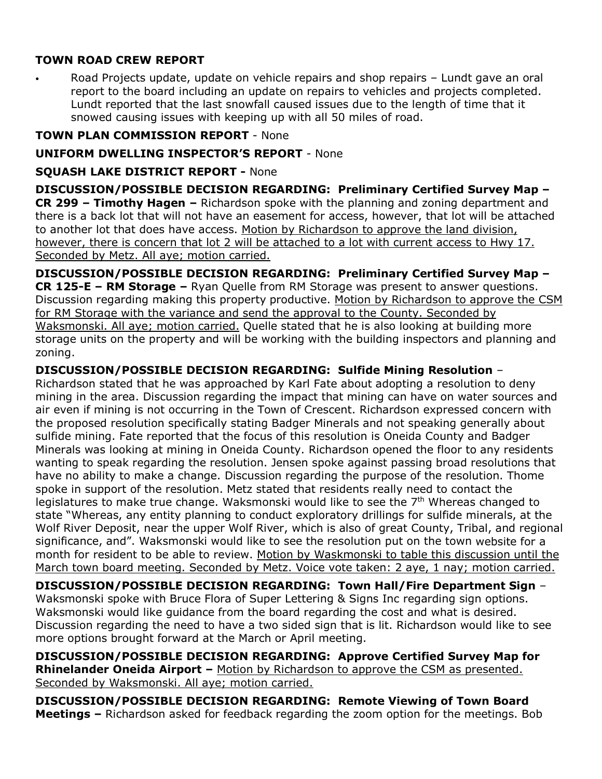# **TOWN ROAD CREW REPORT**

• Road Projects update, update on vehicle repairs and shop repairs – Lundt gave an oral report to the board including an update on repairs to vehicles and projects completed. Lundt reported that the last snowfall caused issues due to the length of time that it snowed causing issues with keeping up with all 50 miles of road.

### **TOWN PLAN COMMISSION REPORT** - None

## **UNIFORM DWELLING INSPECTOR'S REPORT** - None

### **SQUASH LAKE DISTRICT REPORT -** None

**DISCUSSION/POSSIBLE DECISION REGARDING: Preliminary Certified Survey Map – CR 299 – Timothy Hagen –** Richardson spoke with the planning and zoning department and there is a back lot that will not have an easement for access, however, that lot will be attached to another lot that does have access. Motion by Richardson to approve the land division, however, there is concern that lot 2 will be attached to a lot with current access to Hwy 17. Seconded by Metz. All aye; motion carried.

### **DISCUSSION/POSSIBLE DECISION REGARDING: Preliminary Certified Survey Map –**

**CR 125-E – RM Storage –** Ryan Quelle from RM Storage was present to answer questions. Discussion regarding making this property productive. Motion by Richardson to approve the CSM for RM Storage with the variance and send the approval to the County. Seconded by Waksmonski. All aye; motion carried. Quelle stated that he is also looking at building more storage units on the property and will be working with the building inspectors and planning and zoning.

### **DISCUSSION/POSSIBLE DECISION REGARDING: Sulfide Mining Resolution** –

Richardson stated that he was approached by Karl Fate about adopting a resolution to deny mining in the area. Discussion regarding the impact that mining can have on water sources and air even if mining is not occurring in the Town of Crescent. Richardson expressed concern with the proposed resolution specifically stating Badger Minerals and not speaking generally about sulfide mining. Fate reported that the focus of this resolution is Oneida County and Badger Minerals was looking at mining in Oneida County. Richardson opened the floor to any residents wanting to speak regarding the resolution. Jensen spoke against passing broad resolutions that have no ability to make a change. Discussion regarding the purpose of the resolution. Thome spoke in support of the resolution. Metz stated that residents really need to contact the legislatures to make true change. Waksmonski would like to see the  $7<sup>th</sup>$  Whereas changed to state "Whereas, any entity planning to conduct exploratory drillings for sulfide minerals, at the Wolf River Deposit, near the upper Wolf River, which is also of great County, Tribal, and regional significance, and". Waksmonski would like to see the resolution put on the town website for a month for resident to be able to review. Motion by Waskmonski to table this discussion until the March town board meeting. Seconded by Metz. Voice vote taken: 2 aye, 1 nay; motion carried.

**DISCUSSION/POSSIBLE DECISION REGARDING: Town Hall/Fire Department Sign** – Waksmonski spoke with Bruce Flora of Super Lettering & Signs Inc regarding sign options. Waksmonski would like guidance from the board regarding the cost and what is desired. Discussion regarding the need to have a two sided sign that is lit. Richardson would like to see more options brought forward at the March or April meeting.

**DISCUSSION/POSSIBLE DECISION REGARDING: Approve Certified Survey Map for Rhinelander Oneida Airport –** Motion by Richardson to approve the CSM as presented. Seconded by Waksmonski. All aye; motion carried.

**DISCUSSION/POSSIBLE DECISION REGARDING: Remote Viewing of Town Board Meetings –** Richardson asked for feedback regarding the zoom option for the meetings. Bob